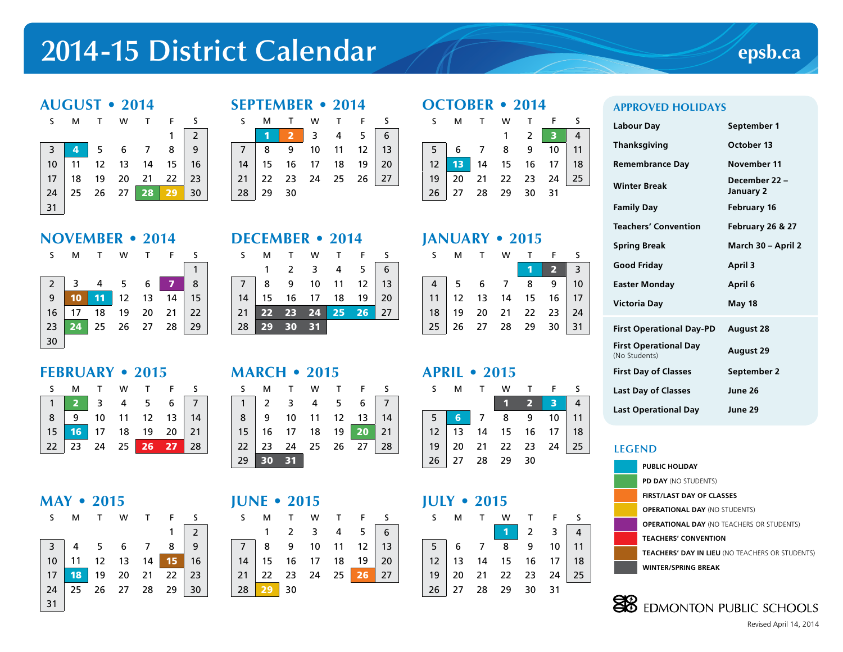# **2014-15 District Calendar**





#### **SEPTEMBER • 2014**

|  | S M T W T F S |  |                                                                                              |
|--|---------------|--|----------------------------------------------------------------------------------------------|
|  |               |  | 1 2 3 4 5 6<br>7 8 9 10 11 12 13<br>14 15 16 17 18 19 20<br>21 22 23 24 25 26 27<br>28 29 30 |
|  |               |  |                                                                                              |
|  |               |  |                                                                                              |
|  |               |  |                                                                                              |
|  |               |  |                                                                                              |

# **NOVEMBER • 2014**

| S.                                      | М               |                    | W   | T F | -S        |
|-----------------------------------------|-----------------|--------------------|-----|-----|-----------|
|                                         |                 |                    |     |     |           |
| $\begin{array}{c} 2 \\ 9 \end{array}$   | $\mathbf{3}$    | 4                  | 5 6 |     | 8         |
|                                         | 10 <sub>1</sub> | 11 12 13           |     |     | $14$   15 |
| 16                                      |                 | 17  18  19  20  21 |     |     | 22        |
| $\begin{array}{c} 23 \\ 30 \end{array}$ | 24              | 25 26 27 28        |     |     | 29        |
|                                         |                 |                    |     |     |           |

**FEBRUARY • 2015**

| ILDNUANI * 401J |  |                                                                                     |  |  |
|-----------------|--|-------------------------------------------------------------------------------------|--|--|
|                 |  | S M T W T F S                                                                       |  |  |
|                 |  |                                                                                     |  |  |
|                 |  |                                                                                     |  |  |
|                 |  |                                                                                     |  |  |
|                 |  | 1 2 3 4 5 6 7<br>8 9 10 11 12 13 14<br>15 16 17 18 19 20 21<br>22 23 24 25 26 27 28 |  |  |

# **MAY • 2015**

| S. | MTWTFS                                                                                      |  |  |                                       |
|----|---------------------------------------------------------------------------------------------|--|--|---------------------------------------|
|    |                                                                                             |  |  | $\begin{array}{c} 2 \\ 9 \end{array}$ |
|    | 3 4 5 6 7 8 9<br>10 11 12 13 14 15 16<br>17 18 19 20 21 22 23<br>24 25 26 27 28 29 30<br>31 |  |  |                                       |
|    |                                                                                             |  |  |                                       |
|    |                                                                                             |  |  |                                       |
|    |                                                                                             |  |  |                                       |
|    |                                                                                             |  |  |                                       |

# **DECEMBER • 2014**

|                 | M        | <b>W</b>                                                 |  |  |
|-----------------|----------|----------------------------------------------------------|--|--|
|                 |          | 1 2 3 4 5 6<br>7 8 9 10 11 12 13<br>14 15 16 17 18 19 20 |  |  |
|                 |          |                                                          |  |  |
|                 |          |                                                          |  |  |
| 21              |          | 22 23 24 25 26 27                                        |  |  |
| 28 <sup>1</sup> | 29 30 31 |                                                          |  |  |

# **MARCH • 2015**

|  | S M T W T F S                                                                       |  |  |
|--|-------------------------------------------------------------------------------------|--|--|
|  | 1 2 3 4 5 6 7<br>8 9 10 11 12 13 14<br>15 16 17 18 19 20 21<br>22 23 24 25 26 27 28 |  |  |
|  |                                                                                     |  |  |
|  |                                                                                     |  |  |
|  |                                                                                     |  |  |
|  | $29$ 30 31                                                                          |  |  |

# **JUNE • 2015**

29

| S M T W T F S                                                                                |  |  |  |
|----------------------------------------------------------------------------------------------|--|--|--|
|                                                                                              |  |  |  |
| 1 2 3 4 5 6<br>7 8 9 10 11 12 13<br>14 15 16 17 18 19 20<br>21 22 23 24 25 26 27<br>28 29 30 |  |  |  |
|                                                                                              |  |  |  |
|                                                                                              |  |  |  |
|                                                                                              |  |  |  |

# **OCTOBER • 2014**

| S M T W T F S |  |  |                                                                                                 |
|---------------|--|--|-------------------------------------------------------------------------------------------------|
|               |  |  |                                                                                                 |
|               |  |  |                                                                                                 |
|               |  |  |                                                                                                 |
|               |  |  |                                                                                                 |
|               |  |  | 1 2 3 4<br>5 6 7 8 9 10 11<br>12 13 14 15 16 17 18<br>19 20 21 22 23 24 25<br>26 27 28 29 30 31 |

# **JANUARY • 2015**

|                                                                                        |  | S M T W T F S |  |
|----------------------------------------------------------------------------------------|--|---------------|--|
|                                                                                        |  |               |  |
| 4 5 6 7 8 9 10<br>11 12 13 14 15 16 17<br>18 19 20 21 22 23 24<br>25 26 27 28 29 30 31 |  |               |  |
|                                                                                        |  |               |  |
|                                                                                        |  |               |  |
|                                                                                        |  |               |  |
|                                                                                        |  |               |  |

### **APRIL • 2015**

|  |                                                                           | M T W T F S |  |  |
|--|---------------------------------------------------------------------------|-------------|--|--|
|  |                                                                           |             |  |  |
|  | 1 2 3 4<br>12 13 14 15 16 17 18<br>19 20 21 22 23 24 25<br>26 27 28 29 30 |             |  |  |
|  |                                                                           |             |  |  |
|  |                                                                           |             |  |  |
|  |                                                                           |             |  |  |

#### **JULY • 2015**

|  | <b>M</b> | T W T F S                                                                                       |  |  |
|--|----------|-------------------------------------------------------------------------------------------------|--|--|
|  |          | 1 2 3 4<br>5 6 7 8 9 10 11<br>12 13 14 15 16 17 18<br>19 20 21 22 23 24 25<br>26 27 28 29 30 31 |  |  |
|  |          |                                                                                                 |  |  |
|  |          |                                                                                                 |  |  |
|  |          |                                                                                                 |  |  |
|  |          |                                                                                                 |  |  |

#### **APPROVED HOLIDAYS**

| Labour Day                                    | September 1                 |
|-----------------------------------------------|-----------------------------|
| <b>Thanksgiving</b>                           | October 13                  |
| <b>Remembrance Day</b>                        | November 11                 |
| <b>Winter Break</b>                           | December 22 -<br>January 2  |
| <b>Family Day</b>                             | <b>February 16</b>          |
| <b>Teachers' Convention</b>                   | <b>February 26 &amp; 27</b> |
| <b>Spring Break</b>                           | March 30 - April 2          |
| Good Friday                                   | April 3                     |
| Easter Monday                                 | April 6                     |
| Victoria Day                                  | May 18                      |
| <b>First Operational Day-PD</b>               | <b>August 28</b>            |
| <b>First Operational Day</b><br>(No Students) | <b>August 29</b>            |
| <b>First Day of Classes</b>                   | September 2                 |
| <b>Last Day of Classes</b>                    | June 26                     |
|                                               |                             |
| <b>Last Operational Day</b>                   | June 29                     |

#### **LEGEND**





Revised April 14, 2014